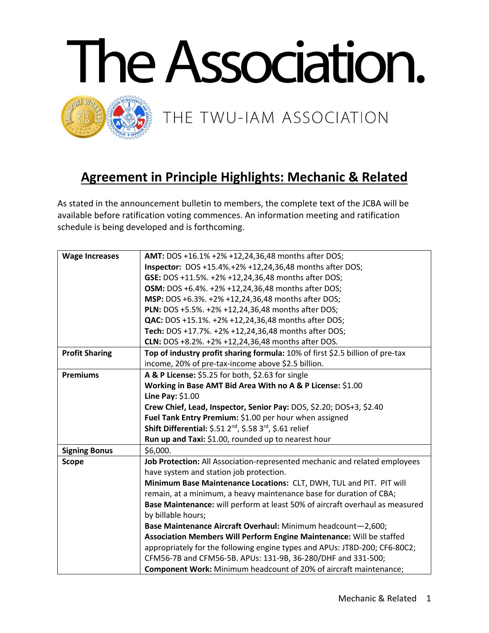

## **Agreement in Principle Highlights: Mechanic & Related**

As stated in the announcement bulletin to members, the complete text of the JCBA will be available before ratification voting commences. An information meeting and ratification schedule is being developed and is forthcoming.

| <b>Wage Increases</b> | <b>AMT:</b> DOS +16.1% +2% +12,24,36,48 months after DOS;                        |
|-----------------------|----------------------------------------------------------------------------------|
|                       | <b>Inspector:</b> DOS +15.4%.+2% +12,24,36,48 months after DOS;                  |
|                       | GSE: DOS +11.5%. +2% +12,24,36,48 months after DOS;                              |
|                       | <b>OSM:</b> DOS +6.4%. +2% +12,24,36,48 months after DOS;                        |
|                       | MSP: DOS +6.3%. +2% +12,24,36,48 months after DOS;                               |
|                       | PLN: DOS +5.5%. +2% +12,24,36,48 months after DOS;                               |
|                       | <b>QAC:</b> DOS +15.1%. +2% +12,24,36,48 months after DOS;                       |
|                       | Tech: DOS +17.7%. +2% +12,24,36,48 months after DOS;                             |
|                       | <b>CLN:</b> DOS +8.2%. +2% +12,24,36,48 months after DOS.                        |
| <b>Profit Sharing</b> | Top of industry profit sharing formula: 10% of first \$2.5 billion of pre-tax    |
|                       | income, 20% of pre-tax-income above \$2.5 billion.                               |
| <b>Premiums</b>       | A & P License: \$5.25 for both, \$2.63 for single                                |
|                       | Working in Base AMT Bid Area With no A & P License: \$1.00                       |
|                       | Line Pay: \$1.00                                                                 |
|                       | Crew Chief, Lead, Inspector, Senior Pay: DOS, \$2.20; DOS+3, \$2.40              |
|                       | Fuel Tank Entry Premium: \$1.00 per hour when assigned                           |
|                       | Shift Differential: \$.51 2 <sup>nd</sup> , \$.58 3 <sup>rd</sup> , \$.61 relief |
|                       | Run up and Taxi: \$1.00, rounded up to nearest hour                              |
| <b>Signing Bonus</b>  | \$6,000.                                                                         |
| <b>Scope</b>          | Job Protection: All Association-represented mechanic and related employees       |
|                       | have system and station job protection.                                          |
|                       | Minimum Base Maintenance Locations: CLT, DWH, TUL and PIT. PIT will              |
|                       | remain, at a minimum, a heavy maintenance base for duration of CBA;              |
|                       | Base Maintenance: will perform at least 50% of aircraft overhaul as measured     |
|                       | by billable hours;                                                               |
|                       | Base Maintenance Aircraft Overhaul: Minimum headcount-2,600;                     |
|                       | Association Members Will Perform Engine Maintenance: Will be staffed             |
|                       | appropriately for the following engine types and APUs: JT8D-200; CF6-80C2;       |
|                       | CFM56-7B and CFM56-5B. APUs: 131-9B, 36-280/DHF and 331-500;                     |
|                       | <b>Component Work:</b> Minimum headcount of 20% of aircraft maintenance;         |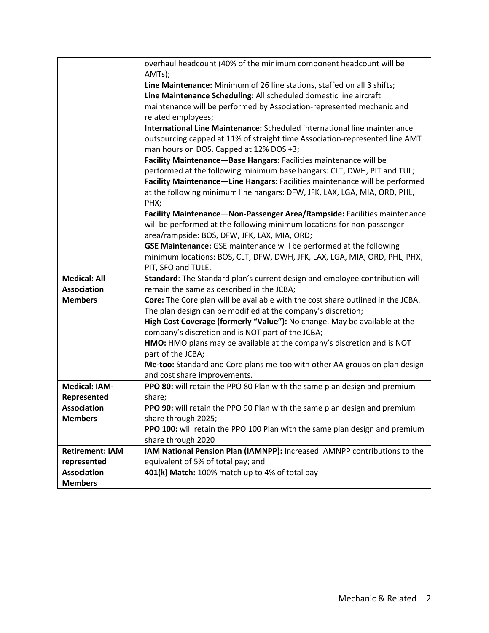|                        | overhaul headcount (40% of the minimum component headcount will be              |
|------------------------|---------------------------------------------------------------------------------|
|                        | AMTs);                                                                          |
|                        | Line Maintenance: Minimum of 26 line stations, staffed on all 3 shifts;         |
|                        | Line Maintenance Scheduling: All scheduled domestic line aircraft               |
|                        | maintenance will be performed by Association-represented mechanic and           |
|                        | related employees;                                                              |
|                        | International Line Maintenance: Scheduled international line maintenance        |
|                        | outsourcing capped at 11% of straight time Association-represented line AMT     |
|                        | man hours on DOS. Capped at 12% DOS +3;                                         |
|                        | Facility Maintenance-Base Hangars: Facilities maintenance will be               |
|                        | performed at the following minimum base hangars: CLT, DWH, PIT and TUL;         |
|                        | Facility Maintenance-Line Hangars: Facilities maintenance will be performed     |
|                        | at the following minimum line hangars: DFW, JFK, LAX, LGA, MIA, ORD, PHL,       |
|                        | PHX;                                                                            |
|                        | Facility Maintenance-Non-Passenger Area/Rampside: Facilities maintenance        |
|                        | will be performed at the following minimum locations for non-passenger          |
|                        | area/rampside: BOS, DFW, JFK, LAX, MIA, ORD;                                    |
|                        | GSE Maintenance: GSE maintenance will be performed at the following             |
|                        | minimum locations: BOS, CLT, DFW, DWH, JFK, LAX, LGA, MIA, ORD, PHL, PHX,       |
|                        | PIT, SFO and TULE.                                                              |
| <b>Medical: All</b>    | Standard: The Standard plan's current design and employee contribution will     |
| <b>Association</b>     | remain the same as described in the JCBA;                                       |
| <b>Members</b>         | Core: The Core plan will be available with the cost share outlined in the JCBA. |
|                        | The plan design can be modified at the company's discretion;                    |
|                        | High Cost Coverage (formerly "Value"): No change. May be available at the       |
|                        | company's discretion and is NOT part of the JCBA;                               |
|                        | HMO: HMO plans may be available at the company's discretion and is NOT          |
|                        | part of the JCBA;                                                               |
|                        | Me-too: Standard and Core plans me-too with other AA groups on plan design      |
|                        | and cost share improvements.                                                    |
| <b>Medical: IAM-</b>   | PPO 80: will retain the PPO 80 Plan with the same plan design and premium       |
| Represented            | share;                                                                          |
| <b>Association</b>     | PPO 90: will retain the PPO 90 Plan with the same plan design and premium       |
| <b>Members</b>         | share through 2025;                                                             |
|                        | PPO 100: will retain the PPO 100 Plan with the same plan design and premium     |
|                        | share through 2020                                                              |
| <b>Retirement: IAM</b> | IAM National Pension Plan (IAMNPP): Increased IAMNPP contributions to the       |
| represented            | equivalent of 5% of total pay; and                                              |
| <b>Association</b>     | 401(k) Match: 100% match up to 4% of total pay                                  |
| <b>Members</b>         |                                                                                 |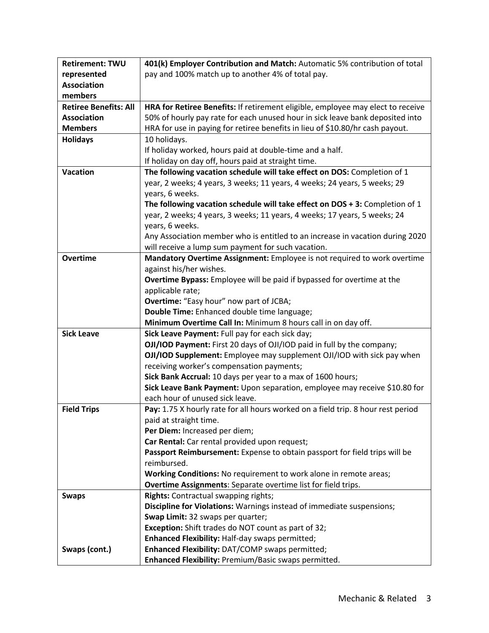| <b>Retirement: TWU</b>       | 401(k) Employer Contribution and Match: Automatic 5% contribution of total                                    |
|------------------------------|---------------------------------------------------------------------------------------------------------------|
| represented                  | pay and 100% match up to another 4% of total pay.                                                             |
| <b>Association</b>           |                                                                                                               |
| members                      |                                                                                                               |
| <b>Retiree Benefits: All</b> | HRA for Retiree Benefits: If retirement eligible, employee may elect to receive                               |
| <b>Association</b>           | 50% of hourly pay rate for each unused hour in sick leave bank deposited into                                 |
| <b>Members</b>               | HRA for use in paying for retiree benefits in lieu of \$10.80/hr cash payout.                                 |
| <b>Holidays</b>              | 10 holidays.                                                                                                  |
|                              | If holiday worked, hours paid at double-time and a half.                                                      |
|                              | If holiday on day off, hours paid at straight time.                                                           |
| <b>Vacation</b>              | The following vacation schedule will take effect on DOS: Completion of 1                                      |
|                              | year, 2 weeks; 4 years, 3 weeks; 11 years, 4 weeks; 24 years, 5 weeks; 29                                     |
|                              | years, 6 weeks.                                                                                               |
|                              | The following vacation schedule will take effect on $DOS + 3$ : Completion of 1                               |
|                              | year, 2 weeks; 4 years, 3 weeks; 11 years, 4 weeks; 17 years, 5 weeks; 24                                     |
|                              | years, 6 weeks.                                                                                               |
|                              | Any Association member who is entitled to an increase in vacation during 2020                                 |
|                              | will receive a lump sum payment for such vacation.                                                            |
| <b>Overtime</b>              | Mandatory Overtime Assignment: Employee is not required to work overtime                                      |
|                              | against his/her wishes.                                                                                       |
|                              | Overtime Bypass: Employee will be paid if bypassed for overtime at the                                        |
|                              | applicable rate;                                                                                              |
|                              | <b>Overtime:</b> "Easy hour" now part of JCBA;                                                                |
|                              | Double Time: Enhanced double time language;                                                                   |
|                              | Minimum Overtime Call In: Minimum 8 hours call in on day off.                                                 |
| <b>Sick Leave</b>            | Sick Leave Payment: Full pay for each sick day;                                                               |
|                              | OJI/IOD Payment: First 20 days of OJI/IOD paid in full by the company;                                        |
|                              | OJI/IOD Supplement: Employee may supplement OJI/IOD with sick pay when                                        |
|                              | receiving worker's compensation payments;                                                                     |
|                              | Sick Bank Accrual: 10 days per year to a max of 1600 hours;                                                   |
|                              | Sick Leave Bank Payment: Upon separation, employee may receive \$10.80 for                                    |
|                              | each hour of unused sick leave.                                                                               |
| <b>Field Trips</b>           | Pay: 1.75 X hourly rate for all hours worked on a field trip. 8 hour rest period                              |
|                              | paid at straight time.                                                                                        |
|                              | Per Diem: Increased per diem;                                                                                 |
|                              | Car Rental: Car rental provided upon request;                                                                 |
|                              | Passport Reimbursement: Expense to obtain passport for field trips will be                                    |
|                              | reimbursed.                                                                                                   |
|                              | Working Conditions: No requirement to work alone in remote areas;                                             |
|                              | Overtime Assignments: Separate overtime list for field trips.                                                 |
| <b>Swaps</b>                 | Rights: Contractual swapping rights;                                                                          |
|                              | Discipline for Violations: Warnings instead of immediate suspensions;<br>Swap Limit: 32 swaps per quarter;    |
|                              |                                                                                                               |
|                              | <b>Exception:</b> Shift trades do NOT count as part of 32;<br>Enhanced Flexibility: Half-day swaps permitted; |
| Swaps (cont.)                | Enhanced Flexibility: DAT/COMP swaps permitted;                                                               |
|                              | Enhanced Flexibility: Premium/Basic swaps permitted.                                                          |
|                              |                                                                                                               |